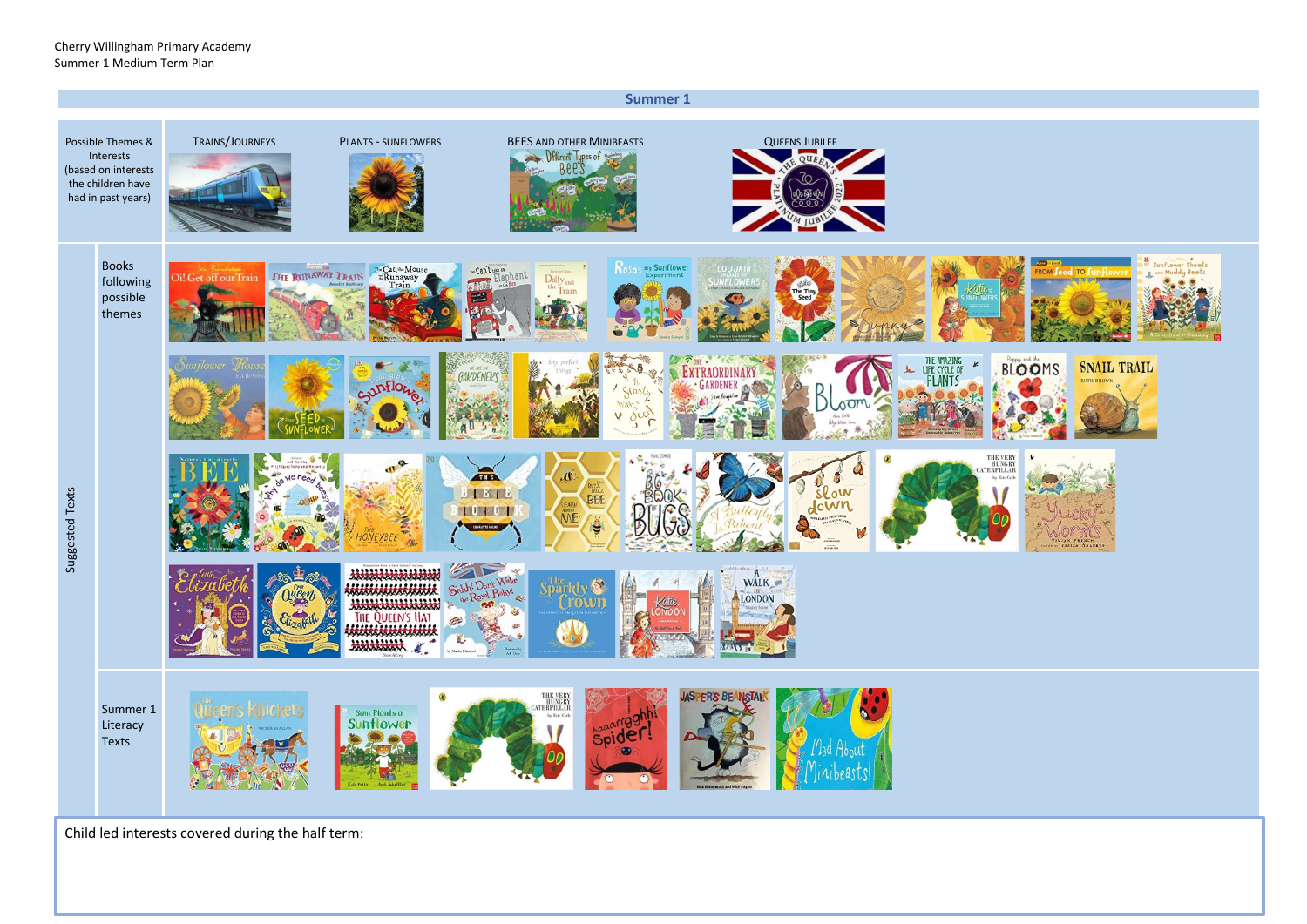

Child led interests covered during the half term: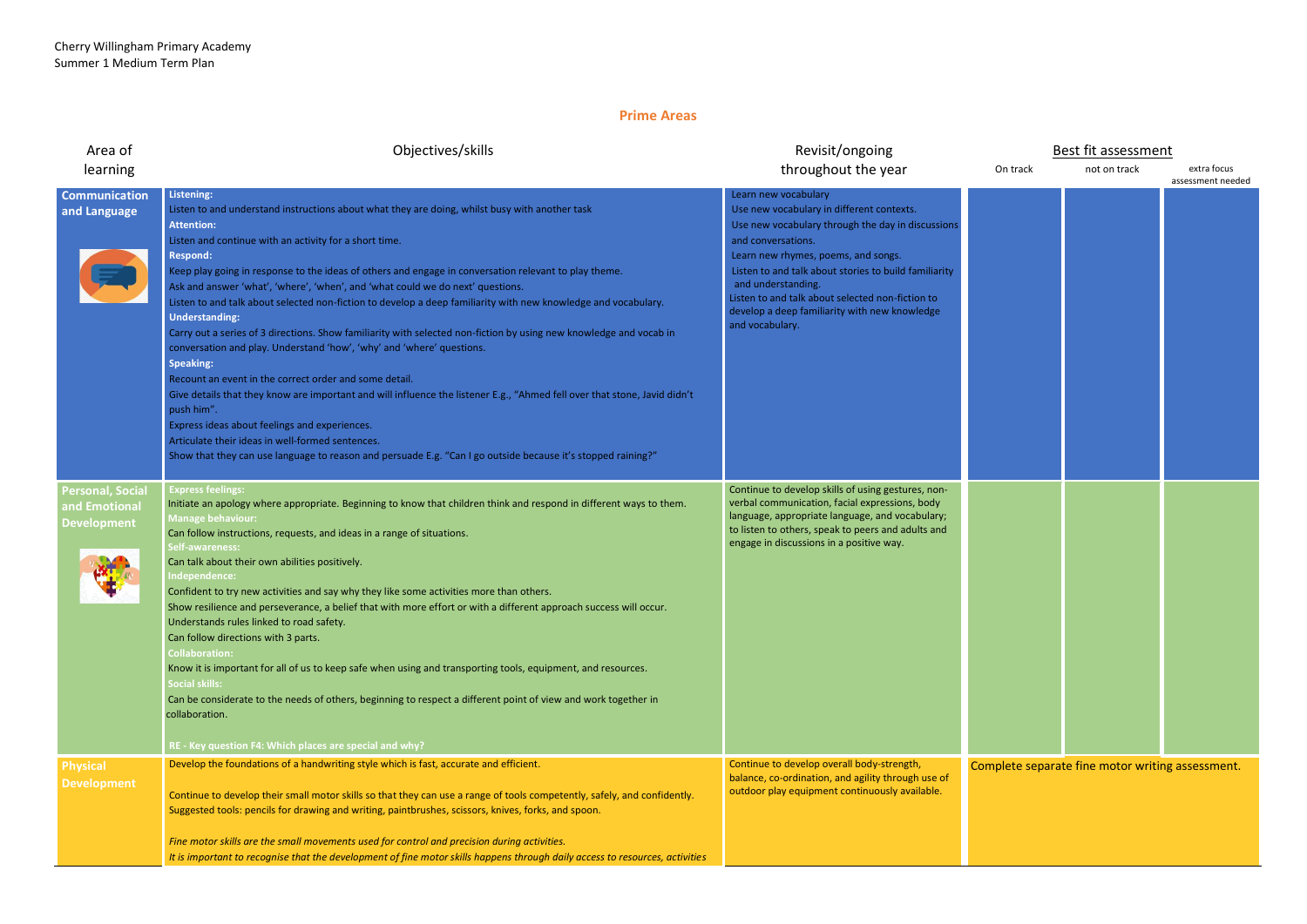## **Prime Areas**

| Area of<br>learning                                            | Objectives/skills                                                                                                                                                                                                                                                                                                                                                                                                                                                                                                                                                                                                                                                                                                                                                                                                                                                                                                                                                                                                                                                                                                                                                                                        | Revisit/ongoing<br>throughout the year                                                                                                                                                                                                                                                                                                                                                     |  |
|----------------------------------------------------------------|----------------------------------------------------------------------------------------------------------------------------------------------------------------------------------------------------------------------------------------------------------------------------------------------------------------------------------------------------------------------------------------------------------------------------------------------------------------------------------------------------------------------------------------------------------------------------------------------------------------------------------------------------------------------------------------------------------------------------------------------------------------------------------------------------------------------------------------------------------------------------------------------------------------------------------------------------------------------------------------------------------------------------------------------------------------------------------------------------------------------------------------------------------------------------------------------------------|--------------------------------------------------------------------------------------------------------------------------------------------------------------------------------------------------------------------------------------------------------------------------------------------------------------------------------------------------------------------------------------------|--|
| <b>Communication</b><br>and Language                           | <b>Listening:</b><br>Listen to and understand instructions about what they are doing, whilst busy with another task<br><b>Attention:</b><br>Listen and continue with an activity for a short time.<br><b>Respond:</b><br>Keep play going in response to the ideas of others and engage in conversation relevant to play theme.<br>Ask and answer 'what', 'where', 'when', and 'what could we do next' questions.<br>Listen to and talk about selected non-fiction to develop a deep familiarity with new knowledge and vocabulary.<br><b>Understanding:</b><br>Carry out a series of 3 directions. Show familiarity with selected non-fiction by using new knowledge and vocab in<br>conversation and play. Understand 'how', 'why' and 'where' questions.<br><b>Speaking:</b><br>Recount an event in the correct order and some detail.<br>Give details that they know are important and will influence the listener E.g., "Ahmed fell over that stone, Javid didn't<br>push him".<br>Express ideas about feelings and experiences.<br>Articulate their ideas in well-formed sentences.<br>Show that they can use language to reason and persuade E.g. "Can I go outside because it's stopped raining?" | Learn new vocabulary<br>Use new vocabulary in different contexts.<br>Use new vocabulary through the day in discussions<br>and conversations.<br>Learn new rhymes, poems, and songs.<br>Listen to and talk about stories to build familiarity<br>and understanding.<br>Listen to and talk about selected non-fiction to<br>develop a deep familiarity with new knowledge<br>and vocabulary. |  |
| <b>Personal, Social</b><br>and Emotional<br><b>Development</b> | <b>Express feelings:</b><br>Initiate an apology where appropriate. Beginning to know that children think and respond in different ways to them.<br><b>Manage behaviour:</b><br>Can follow instructions, requests, and ideas in a range of situations.<br><b>Self-awareness:</b><br>Can talk about their own abilities positively.<br>Independence:<br>Confident to try new activities and say why they like some activities more than others.<br>Show resilience and perseverance, a belief that with more effort or with a different approach success will occur.<br>Understands rules linked to road safety.<br>Can follow directions with 3 parts.<br><b>Collaboration:</b><br>Know it is important for all of us to keep safe when using and transporting tools, equipment, and resources.<br><b>Social skills:</b><br>Can be considerate to the needs of others, beginning to respect a different point of view and work together in<br>collaboration.<br>RE - Key question F4: Which places are special and why?                                                                                                                                                                                   | Continue to develop skills of using gestures, non-<br>verbal communication, facial expressions, body<br>language, appropriate language, and vocabulary;<br>to listen to others, speak to peers and adults and<br>engage in discussions in a positive way.                                                                                                                                  |  |
| <b>Physical</b><br><b>Development</b>                          | Develop the foundations of a handwriting style which is fast, accurate and efficient.<br>Continue to develop their small motor skills so that they can use a range of tools competently, safely, and confidently.<br>Suggested tools: pencils for drawing and writing, paintbrushes, scissors, knives, forks, and spoon.<br>Fine motor skills are the small movements used for control and precision during activities.<br>It is important to recognise that the development of fine motor skills happens through daily access to resources, activities                                                                                                                                                                                                                                                                                                                                                                                                                                                                                                                                                                                                                                                  | Continue to develop overall body-strength,<br>balance, co-ordination, and agility through use of<br>outdoor play equipment continuously available.                                                                                                                                                                                                                                         |  |

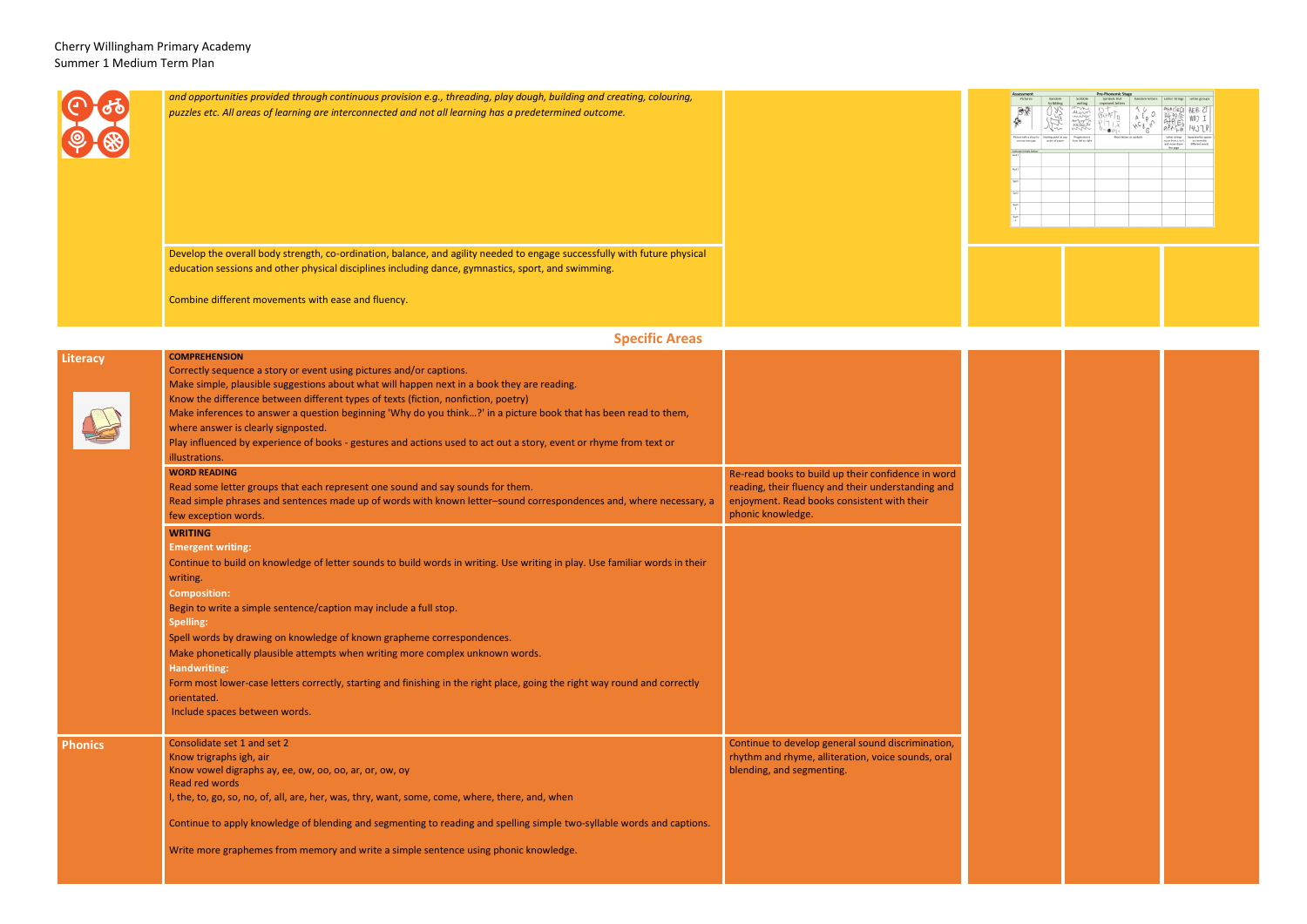|                 | and opportunities provided through continuous provision e.g., threading, play dough, building and creating, colouring,                                                                                                                                                                                                                                                                                                                                                                                                                                     |                                                                                                                                                                              |
|-----------------|------------------------------------------------------------------------------------------------------------------------------------------------------------------------------------------------------------------------------------------------------------------------------------------------------------------------------------------------------------------------------------------------------------------------------------------------------------------------------------------------------------------------------------------------------------|------------------------------------------------------------------------------------------------------------------------------------------------------------------------------|
|                 | puzzles etc. All areas of learning are interconnected and not all learning has a predetermined outcome.                                                                                                                                                                                                                                                                                                                                                                                                                                                    |                                                                                                                                                                              |
|                 | Develop the overall body strength, co-ordination, balance, and agility needed to engage successfully with future physical                                                                                                                                                                                                                                                                                                                                                                                                                                  |                                                                                                                                                                              |
|                 | education sessions and other physical disciplines including dance, gymnastics, sport, and swimming.<br>Combine different movements with ease and fluency.                                                                                                                                                                                                                                                                                                                                                                                                  |                                                                                                                                                                              |
|                 | <b>Specific Areas</b>                                                                                                                                                                                                                                                                                                                                                                                                                                                                                                                                      |                                                                                                                                                                              |
|                 | <b>COMPREHENSION</b>                                                                                                                                                                                                                                                                                                                                                                                                                                                                                                                                       |                                                                                                                                                                              |
| <b>Literacy</b> | Correctly sequence a story or event using pictures and/or captions.<br>Make simple, plausible suggestions about what will happen next in a book they are reading.<br>Know the difference between different types of texts (fiction, nonfiction, poetry)<br>Make inferences to answer a question beginning 'Why do you think?' in a picture book that has been read to them,<br>where answer is clearly signposted.<br>Play influenced by experience of books - gestures and actions used to act out a story, event or rhyme from text or<br>illustrations. |                                                                                                                                                                              |
|                 | <b>WORD READING</b><br>Read some letter groups that each represent one sound and say sounds for them.<br>Read simple phrases and sentences made up of words with known letter-sound correspondences and, where necessary, a<br>few exception words.                                                                                                                                                                                                                                                                                                        | Re-read books to build up their confidence in word<br>reading, their fluency and their understanding and<br>enjoyment. Read books consistent with their<br>phonic knowledge. |
|                 | <b>WRITING</b>                                                                                                                                                                                                                                                                                                                                                                                                                                                                                                                                             |                                                                                                                                                                              |
|                 | <b>Emergent writing:</b><br>Continue to build on knowledge of letter sounds to build words in writing. Use writing in play. Use familiar words in their<br>writing.                                                                                                                                                                                                                                                                                                                                                                                        |                                                                                                                                                                              |
|                 | <b>Composition:</b><br>Begin to write a simple sentence/caption may include a full stop.                                                                                                                                                                                                                                                                                                                                                                                                                                                                   |                                                                                                                                                                              |
|                 | <b>Spelling:</b><br>Spell words by drawing on knowledge of known grapheme correspondences.<br>Make phonetically plausible attempts when writing more complex unknown words.                                                                                                                                                                                                                                                                                                                                                                                |                                                                                                                                                                              |
|                 | <b>Handwriting:</b><br>Form most lower-case letters correctly, starting and finishing in the right place, going the right way round and correctly                                                                                                                                                                                                                                                                                                                                                                                                          |                                                                                                                                                                              |

|                | -----------<br>Include spaces between words.                                                                                                                                                                                                                                                                                                                                                                                                            |                                                                                                                                      |
|----------------|---------------------------------------------------------------------------------------------------------------------------------------------------------------------------------------------------------------------------------------------------------------------------------------------------------------------------------------------------------------------------------------------------------------------------------------------------------|--------------------------------------------------------------------------------------------------------------------------------------|
| <b>Phonics</b> | Consolidate set 1 and set 2<br>Know trigraphs igh, air<br>Know vowel digraphs ay, ee, ow, oo, oo, ar, or, ow, oy<br>Read red words<br>I, the, to, go, so, no, of, all, are, her, was, thry, want, some, come, where, there, and, when<br>Continue to apply knowledge of blending and segmenting to reading and spelling simple two-syllable words and captions.<br>Write more graphemes from memory and write a simple sentence using phonic knowledge. | Continue to develop general sound discrimination,<br>rhythm and rhyme, alliteration, voice sounds, oral<br>blending, and segmenting. |
|                |                                                                                                                                                                                                                                                                                                                                                                                                                                                         |                                                                                                                                      |

| <b>Pre-Phonemic Stage</b><br><b>Assessment</b> |                                            |                                         |                                      |                                   |                       |                                                                 |                                                       |
|------------------------------------------------|--------------------------------------------|-----------------------------------------|--------------------------------------|-----------------------------------|-----------------------|-----------------------------------------------------------------|-------------------------------------------------------|
|                                                | Pictures                                   | Random<br>Scribbling                    | Scribble<br>writing                  | Symbols that<br>represent letters | <b>Random letters</b> | Letter Strings                                                  | Letter groups                                         |
|                                                |                                            |                                         | $\overline{\mathcal{N}}$<br>$4 - 1$  |                                   |                       | $A + P I I E$                                                   | AEB 2T<br><b>WD</b><br>FH.)                           |
|                                                | Picture tells a story to<br>convey message | Starting point at any<br>point of paper | Progression is<br>from left to right | Mock letters or symbols           |                       | Letter strings<br>move from L to R<br>and move down<br>the page | Separated by spaces<br>to resemble<br>different words |
|                                                | Indicate initials below                    |                                         |                                      |                                   |                       |                                                                 |                                                       |
| Aut 1                                          |                                            |                                         |                                      |                                   |                       |                                                                 |                                                       |
| Aut 2                                          |                                            |                                         |                                      |                                   |                       |                                                                 |                                                       |
| Spr1                                           |                                            |                                         |                                      |                                   |                       |                                                                 |                                                       |
| Sor2                                           |                                            |                                         |                                      |                                   |                       |                                                                 |                                                       |
| <b>Sum</b><br>$\mathbf{1}$                     |                                            |                                         |                                      |                                   |                       |                                                                 |                                                       |
| Sum<br>$\overline{\mathbf{z}}$                 |                                            |                                         |                                      |                                   |                       |                                                                 |                                                       |
|                                                |                                            |                                         |                                      |                                   |                       |                                                                 |                                                       |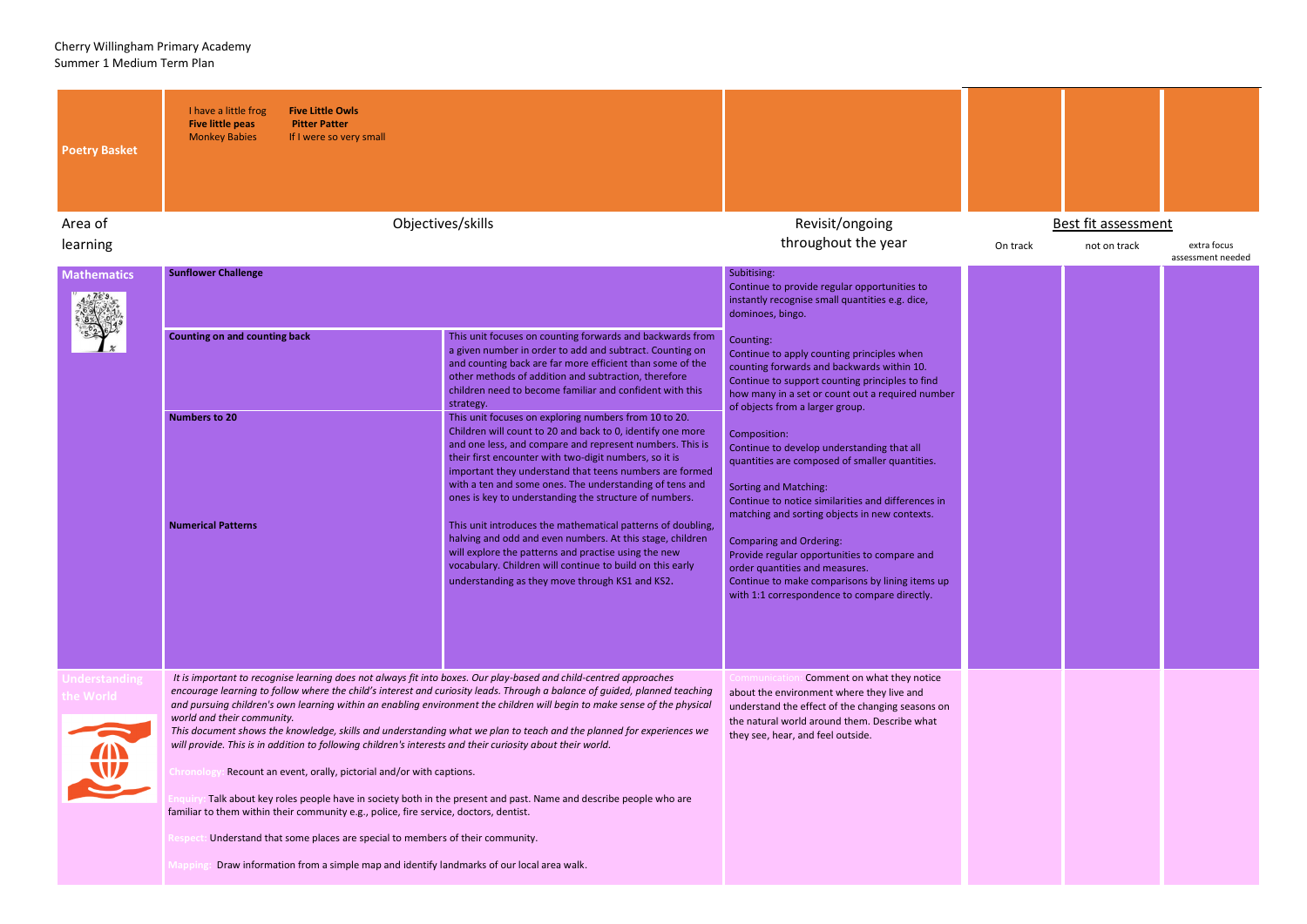| <b>Poetry Basket</b><br>Area of  | I have a little frog<br><b>Five Little Owls</b><br><b>Five little peas</b><br><b>Pitter Patter</b><br><b>Monkey Babies</b><br>If I were so very small                                                                                                                                                                                                                                                                                                                                                                                                                                                                                                                                                                      | Objectives/skills                                                                                                                                                                                                                                                                                                                                                                                                         | Revisit/ongoing                                                                                                                                                                                                                                     |
|----------------------------------|----------------------------------------------------------------------------------------------------------------------------------------------------------------------------------------------------------------------------------------------------------------------------------------------------------------------------------------------------------------------------------------------------------------------------------------------------------------------------------------------------------------------------------------------------------------------------------------------------------------------------------------------------------------------------------------------------------------------------|---------------------------------------------------------------------------------------------------------------------------------------------------------------------------------------------------------------------------------------------------------------------------------------------------------------------------------------------------------------------------------------------------------------------------|-----------------------------------------------------------------------------------------------------------------------------------------------------------------------------------------------------------------------------------------------------|
| learning                         |                                                                                                                                                                                                                                                                                                                                                                                                                                                                                                                                                                                                                                                                                                                            |                                                                                                                                                                                                                                                                                                                                                                                                                           | throughout the year                                                                                                                                                                                                                                 |
| <b>Mathematics</b>               | <b>Sunflower Challenge</b>                                                                                                                                                                                                                                                                                                                                                                                                                                                                                                                                                                                                                                                                                                 | Subitising:<br>Continue to provide regular opportunities to<br>instantly recognise small quantities e.g. dice,<br>dominoes, bingo.                                                                                                                                                                                                                                                                                        |                                                                                                                                                                                                                                                     |
|                                  | <b>Counting on and counting back</b>                                                                                                                                                                                                                                                                                                                                                                                                                                                                                                                                                                                                                                                                                       | This unit focuses on counting forwards and backwards from<br>a given number in order to add and subtract. Counting on<br>and counting back are far more efficient than some of the<br>other methods of addition and subtraction, therefore<br>children need to become familiar and confident with this<br>strategy.                                                                                                       | Counting:<br>Continue to apply counting principles when<br>counting forwards and backwards within 10.<br>Continue to support counting principles to find<br>how many in a set or count out a required number<br>of objects from a larger group.     |
|                                  | <b>Numbers to 20</b>                                                                                                                                                                                                                                                                                                                                                                                                                                                                                                                                                                                                                                                                                                       | This unit focuses on exploring numbers from 10 to 20.<br>Children will count to 20 and back to 0, identify one more<br>and one less, and compare and represent numbers. This is<br>their first encounter with two-digit numbers, so it is<br>important they understand that teens numbers are formed<br>with a ten and some ones. The understanding of tens and<br>ones is key to understanding the structure of numbers. | Composition:<br>Continue to develop understanding that all<br>quantities are composed of smaller quantities.<br><b>Sorting and Matching:</b><br>Continue to notice similarities and differences in<br>matching and sorting objects in new contexts. |
|                                  | <b>Numerical Patterns</b>                                                                                                                                                                                                                                                                                                                                                                                                                                                                                                                                                                                                                                                                                                  | This unit introduces the mathematical patterns of doubling,<br>halving and odd and even numbers. At this stage, children<br>will explore the patterns and practise using the new<br>vocabulary. Children will continue to build on this early<br>understanding as they move through KS1 and KS2.                                                                                                                          | <b>Comparing and Ordering:</b><br>Provide regular opportunities to compare and<br>order quantities and measures.<br>Continue to make comparisons by lining items up<br>with 1:1 correspondence to compare directly.                                 |
| <b>Jnderstanding</b><br>he World | It is important to recognise learning does not always fit into boxes. Our play-based and child-centred approaches<br>encourage learning to follow where the child's interest and curiosity leads. Through a balance of guided, planned teaching<br>and pursuing children's own learning within an enabling environment the children will begin to make sense of the physical<br>world and their community.<br>This document shows the knowledge, skills and understanding what we plan to teach and the planned for experiences we<br>will provide. This is in addition to following children's interests and their curiosity about their world.<br>Recount an event, orally, pictorial and/or with captions.<br>Chronolog | Comment on what they notice<br>Communicatio<br>about the environment where they live and<br>understand the effect of the changing seasons on<br>the natural world around them. Describe what<br>they see, hear, and feel outside.                                                                                                                                                                                         |                                                                                                                                                                                                                                                     |
|                                  | Talk about key roles people have in society both in the present and past. Name and describe people who are<br>familiar to them within their community e.g., police, fire service, doctors, dentist.<br>Understand that some places are special to members of their community.<br>esp<br>Draw information from a simple map and identify landmarks of our local area walk.<br>lappi                                                                                                                                                                                                                                                                                                                                         |                                                                                                                                                                                                                                                                                                                                                                                                                           |                                                                                                                                                                                                                                                     |



## On track not on track extra focus assessment needed

## Best fit assessment